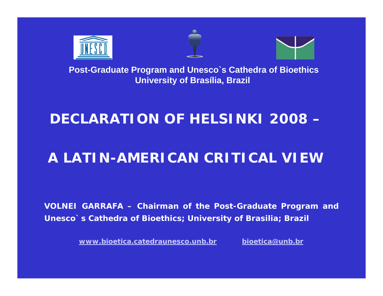





## **DECLARATION OF HELSINKI 2008 –**

# **A LATIN-AMERICAN CRITICAL VIEW**

**VOLNEI GARRAFA – Chairman of the Post-Graduate Program and Unesco`s Cathedra of Bioethics; University of Brasilia; Brazil**

**www.bioetica.catedraunesco.unb.br**

**bioetica@unb.br**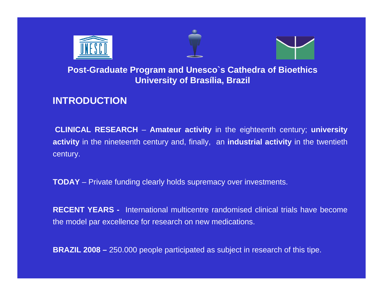





## **INTRODUCTION**

**CLINICAL RESEARCH** – **Amateur activity** in the eighteenth century; **university activity** in the nineteenth century and, finally, an **industrial activity** in the twentieth century.

**TODAY** – Private funding clearly holds supremacy over investments.

**RECENT YEARS -** International multicentre randomised clinical trials have becomethe model par excellence for research on new medications.

**BRAZIL 2008 –** 250.000 people participated as subject in research of this tipe.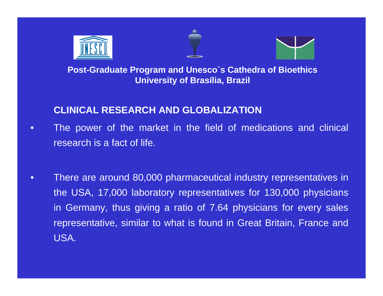





## **CLINICAL RESEARCH AND GLOBALIZATION**

- $\bullet$  The power of the market in the field of medications and clinical research is a fact of life.
- • There are around 80,000 pharmaceutical industry representatives in the USA, 17,000 laboratory representatives for 130,000 physicians in Germany, thus giving a ratio of 7.64 physicians for every sales representative, similar to what is found in Great Britain, France and USA.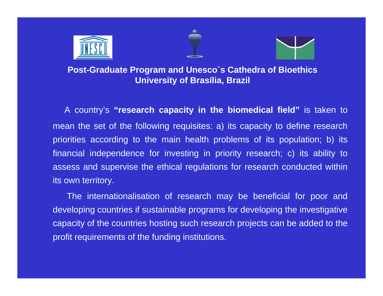





A country's **"research capacity in the biomedical field"** is taken to mean the set of the following requisites: a) its capacity to define research priorities according to the main health problems of its population; b) its financial independence for investing in priority research; c) its ability to assess and supervise the ethical regulations for research conducted within its own territory.

The internationalisation of research may be beneficial for poor and developing countries if sustainable programs for developing the investigative capacity of the countries hosting such research projects can be added to the profit requirements of the funding institutions.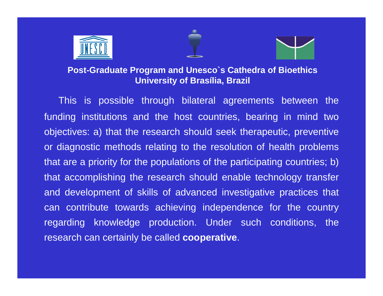





This is possible through bilateral agreements between the funding institutions and the host countries, bearing in mind two objectives: a) that the research should seek therapeutic, preventive or diagnostic methods relating to the resolution of health problems that are a priority for the populations of the participating countries; b) that accomplishing the research should enable technology transfer and development of skills of advanced investigative practices that can contribute towards achieving independence for the country regarding knowledge production. Under such conditions, the research can certainly be called **cooperative**.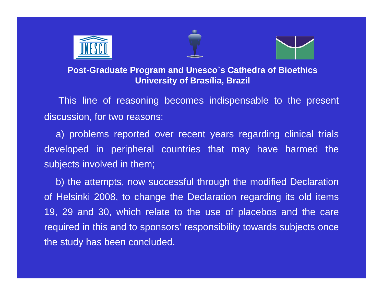





This line of reasoning becomes indispensable to the present discussion, for two reasons:

a) problems reported over recent years regarding clinical trials developed in peripheral countries that may have harmed the subjects involved in them;

b) the attempts, now successful through the modified Declaration of Helsinki 2008, to change the Declaration regarding its old items 19, 29 and 30, which relate to the use of placebos and the care required in this and to sponsors' responsibility towards subjects once the study has been concluded.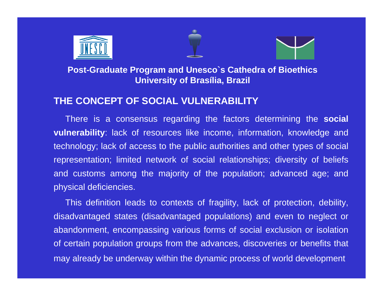





## **THE CONCEPT OF SOCIAL VULNERABILITY**

There is a consensus regarding the factors determining the **social vulnerability**: lack of resources like income, information, knowledge and technology; lack of access to the public authorities and other types of social representation; limited network of social relationships; diversity of beliefs and customs among the majority of the population; advanced age; and physical deficiencies.

This definition leads to contexts of fragility, lack of protection, debility, disadvantaged states (disadvantaged populations) and even to neglect or abandonment, encompassing various forms of social exclusion or isolation of certain population groups from the advances, discoveries or benefits that may already be underway within the dynamic process of world development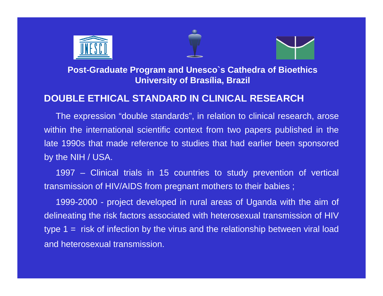





## **DOUBLE ETHICAL STANDARD IN CLINICAL RESEARCH**

The expression "double standards", in relation to clinical research, arose within the international scientific context from two papers published in the late 1990s that made reference to studies that had earlier been sponsored by the NIH / USA.

1997 – Clinical trials in 15 countries to study prevention of vertical transmission of HIV/AIDS from pregnant mothers to their babies ;

1999-2000 - project developed in rural areas of Uganda with the aim of delineating the risk factors associated with heterosexual transmission of HIV type 1 = risk of infection by the virus and the relationship between viral load and heterosexual transmission.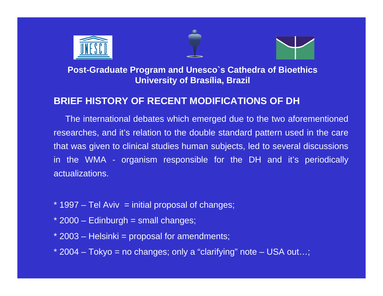





## **BRIEF HISTORY OF RECENT MODIFICATIONS OF DH**

The international debates which emerged due to the two aforementioned researches, and it's relation to the double standard pattern used in the care that was given to clinical studies human subjects, led to several discussions in the WMA - organism responsible for the DH and it's periodically actualizations.

- $*$  1997 Tel Aviv = initial proposal of changes;
- $*$  2000 Edinburgh = small changes;
- \* 2003 Helsinki = proposal for amendments;
- \* 2004 Tokyo = no changes; only a "clarifying" note USA out…;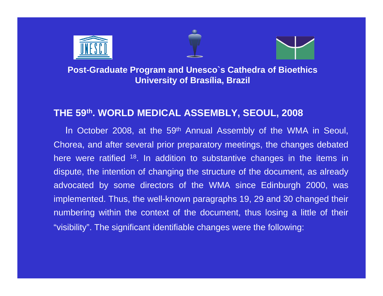





#### **THE 59th. WORLD MEDICAL ASSEMBLY, SEOUL, 2008**

In October 2008, at the 59<sup>th</sup> Annual Assembly of the WMA in Seoul, Chorea, and after several prior preparatory meetings, the changes debated here were ratified <sup>18</sup>. In addition to substantive changes in the items in dispute, the intention of changing the structure of the document, as already advocated by some directors of the WMA since Edinburgh 2000, was implemented. Thus, the well-known paragraphs 19, 29 and 30 changed their numbering within the context of the document, thus losing a little of their "visibility". The significant identifiable changes were the following: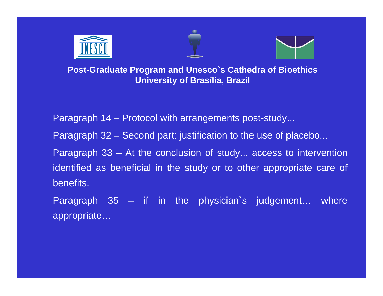





Paragraph 14 – Protocol with arrangements post-study...

Paragraph 32 – Second part: justification to the use of placebo...

Paragraph 33 – At the conclusion of study... access to intervention identified as beneficial in the study or to other appropriate care of benefits.

Paragraph 35 – if in the physician`s judgement… where appropriate…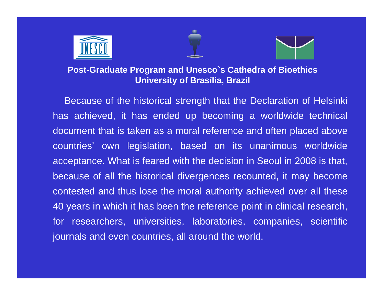





Because of the historical strength that the Declaration of Helsinki has achieved, it has ended up becoming a worldwide technical document that is taken as a moral reference and often placed above countries' own legislation, based on its unanimous worldwide acceptance. What is feared with the decision in Seoul in 2008 is that, because of all the historical divergences recounted, it may become contested and thus lose the moral authority achieved over all these 40 years in which it has been the reference point in clinical research, for researchers, universities, laboratories, companies, scientific journals and even countries, all around the world.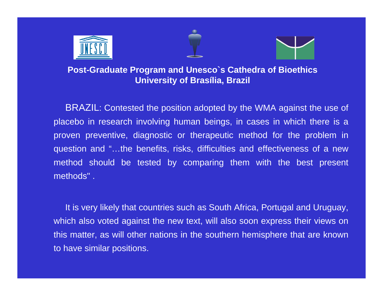





BRAZIL: Contested the position adopted by the WMA against the use of placebo in research involving human beings, in cases in which there is a proven preventive, diagnostic or therapeutic method for the problem in question and "…the benefits, risks, difficulties and effectiveness of a new method should be tested by comparing them with the best present methods" .

It is very likely that countries such as South Africa, Portugal and Uruguay, which also voted against the new text, will also soon express their views on this matter, as will other nations in the southern hemisphere that are known to have similar positions.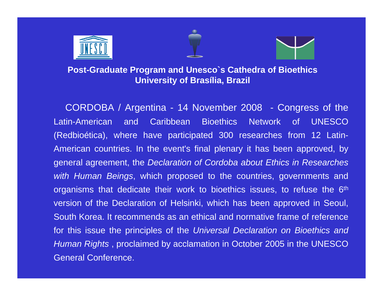





CORDOBA / Argentina - 14 November 2008 - Congress of the Latin-American and Caribbean Bioethics Network of UNESCO (Redbioética), where have participated 300 researches from 12 Latin-American countries. In the event's final plenary it has been approved, by general agreement, the *Declaration of Cordoba about Ethics in Researches with Human Beings*, which proposed to the countries, governments and organisms that dedicate their work to bioethics issues, to refuse the 6<sup>th</sup> version of the Declaration of Helsinki, which has been approved in Seoul, South Korea. It recommends as an ethical and normative frame of reference for this issue the principles of the *Universal Declaration on Bioethics and Human Rights* , proclaimed by acclamation in October 2005 in the UNESCO General Conference.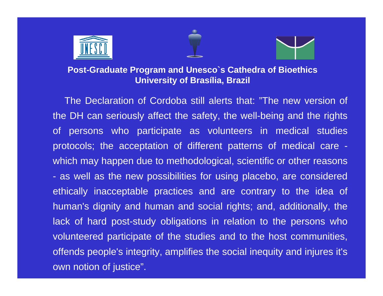





The Declaration of Cordoba still alerts that: "The new version of the DH can seriously affect the safety, the well-being and the rights of persons who participate as volunteers in medical studies protocols; the acceptation of different patterns of medical care which may happen due to methodological, scientific or other reasons as well as the new possibilities for using placebo, are considered ethically inacceptable practices and are contrary to the idea of human's dignity and human and social rights; and, additionally, the lack of hard post-study obligations in relation to the persons who volunteered participate of the studies and to the host communities, offends people's integrity, amplifies the social inequity and injures it's own notion of justice".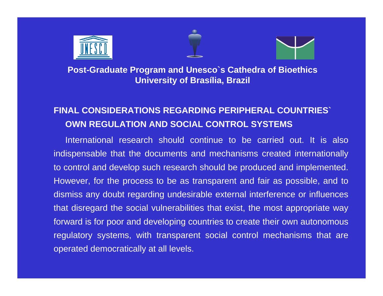





## **FINAL CONSIDERATIONS REGARDING PERIPHERAL COUNTRIES` OWN REGULATION AND SOCIAL CONTROL SYSTEMS**

International research should continue to be carried out. It is also indispensable that the documents and mechanisms created internationally to control and develop such research should be produced and implemented. However, for the process to be as transparent and fair as possible, and to dismiss any doubt regarding undesirable external interference or influences that disregard the social vulnerabilities that exist, the most appropriate way forward is for poor and developing countries to create their own autonomous regulatory systems, with transparent social control mechanisms that are operated democratically at all levels.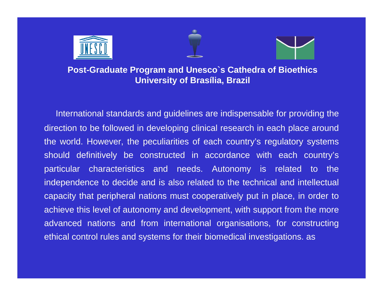





International standards and guidelines are indispensable for providing the direction to be followed in developing clinical research in each place around the world. However, the peculiarities of each country's regulatory systems should definitively be constructed in accordance with each country's particular characteristics and needs. Autonomy is related to the independence to decide and is also related to the technical and intellectual capacity that peripheral nations must cooperatively put in place, in order to achieve this level of autonomy and development, with support from the more advanced nations and from international organisations, for constructing ethical control rules and systems for their biomedical investigations. as